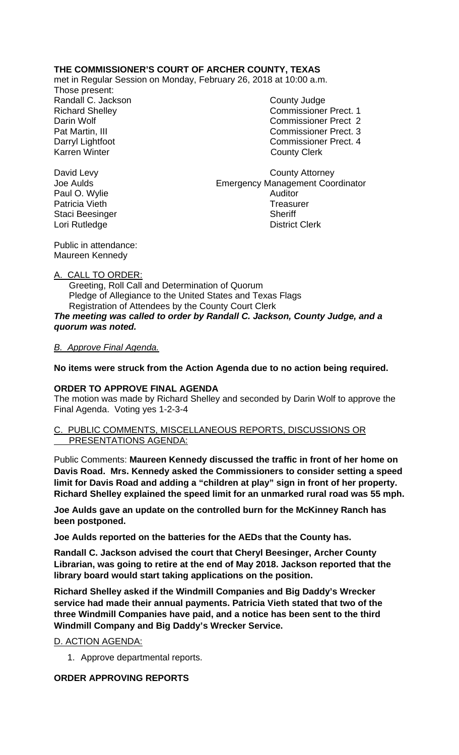# **THE COMMISSIONER'S COURT OF ARCHER COUNTY, TEXAS**

met in Regular Session on Monday, February 26, 2018 at 10:00 a.m.

Those present: Randall C. Jackson County Judge Karren Winter **County Clerk** 

Richard Shelley Commissioner Prect. 1 Darin Wolf Commissioner Prect 2 Pat Martin, III Commissioner Prect. 3 Darryl Lightfoot Commissioner Prect. 4

David Levy **County Attorney** Joe Aulds Emergency Management Coordinator Paul O. Wylie **Auditor** Auditor Patricia Vieth **Treasurer** Staci Beesinger Sheriff Lori Rutledge **District Clerk** 

Public in attendance: Maureen Kennedy

## A. CALL TO ORDER:

 Greeting, Roll Call and Determination of Quorum Pledge of Allegiance to the United States and Texas Flags Registration of Attendees by the County Court Clerk *The meeting was called to order by Randall C. Jackson, County Judge, and a quorum was noted.*

### *B. Approve Final Agenda.*

**No items were struck from the Action Agenda due to no action being required.**

## **ORDER TO APPROVE FINAL AGENDA**

The motion was made by Richard Shelley and seconded by Darin Wolf to approve the Final Agenda. Voting yes 1-2-3-4

#### C. PUBLIC COMMENTS, MISCELLANEOUS REPORTS, DISCUSSIONS OR PRESENTATIONS AGENDA:

Public Comments: **Maureen Kennedy discussed the traffic in front of her home on Davis Road. Mrs. Kennedy asked the Commissioners to consider setting a speed limit for Davis Road and adding a "children at play" sign in front of her property. Richard Shelley explained the speed limit for an unmarked rural road was 55 mph.**

**Joe Aulds gave an update on the controlled burn for the McKinney Ranch has been postponed.**

**Joe Aulds reported on the batteries for the AEDs that the County has.**

**Randall C. Jackson advised the court that Cheryl Beesinger, Archer County Librarian, was going to retire at the end of May 2018. Jackson reported that the library board would start taking applications on the position.**

**Richard Shelley asked if the Windmill Companies and Big Daddy's Wrecker service had made their annual payments. Patricia Vieth stated that two of the three Windmill Companies have paid, and a notice has been sent to the third Windmill Company and Big Daddy's Wrecker Service.**

D. ACTION AGENDA:

1. Approve departmental reports.

# **ORDER APPROVING REPORTS**